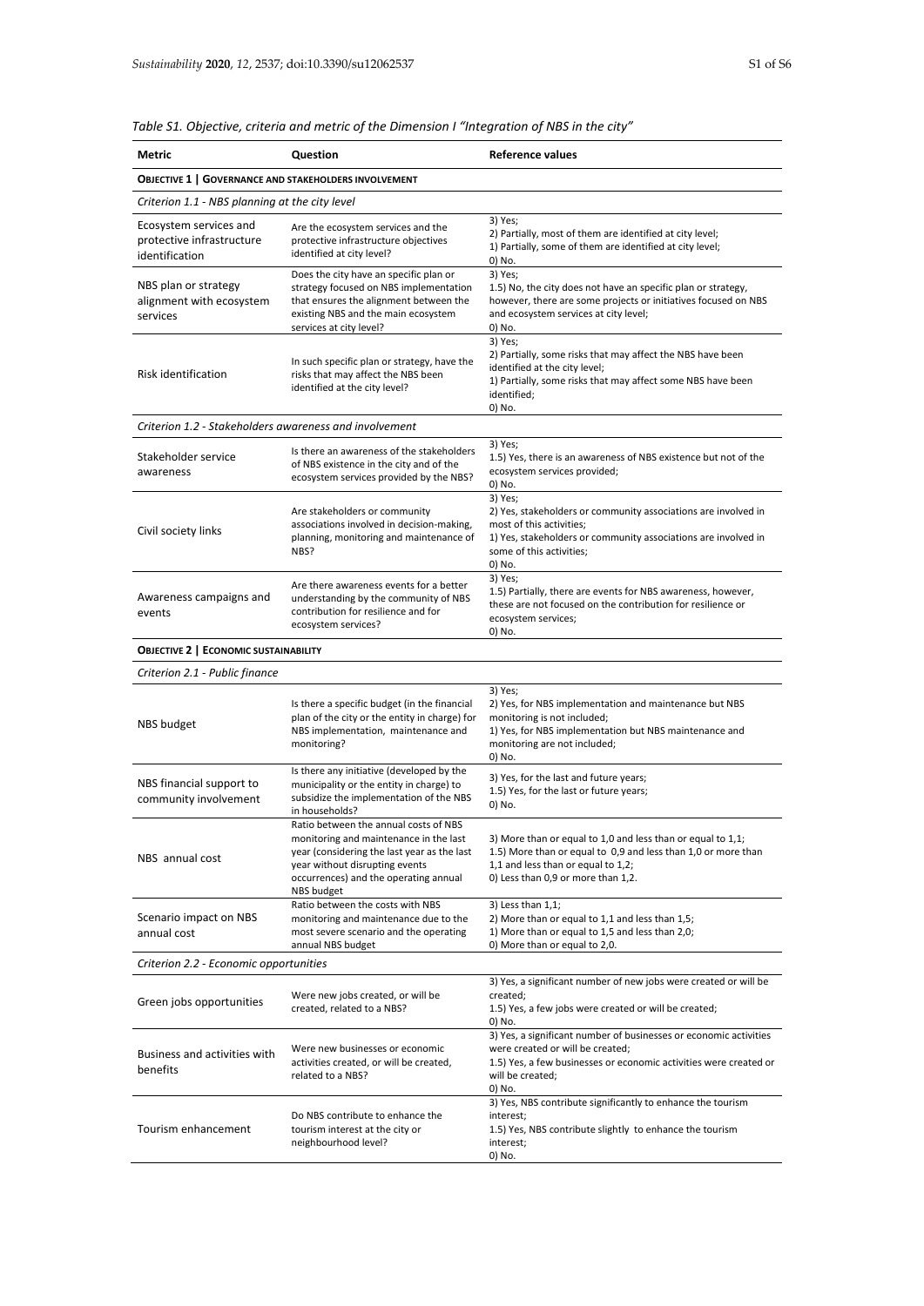| Table S1. Objective, criteria and metric of the Dimension I "Integration of NBS in the city" |
|----------------------------------------------------------------------------------------------|
|                                                                                              |

| <b>Metric</b>                                                         | Question                                                                                                                                                                                     | <b>Reference values</b>                                                                                                                                                                                       |  |
|-----------------------------------------------------------------------|----------------------------------------------------------------------------------------------------------------------------------------------------------------------------------------------|---------------------------------------------------------------------------------------------------------------------------------------------------------------------------------------------------------------|--|
| <b>OBJECTIVE 1   GOVERNANCE AND STAKEHOLDERS INVOLVEMENT</b>          |                                                                                                                                                                                              |                                                                                                                                                                                                               |  |
| Criterion 1.1 - NBS planning at the city level                        |                                                                                                                                                                                              |                                                                                                                                                                                                               |  |
| Ecosystem services and<br>protective infrastructure<br>identification | Are the ecosystem services and the<br>protective infrastructure objectives<br>identified at city level?                                                                                      | 3) Yes;<br>2) Partially, most of them are identified at city level;<br>1) Partially, some of them are identified at city level;<br>0) No.                                                                     |  |
| NBS plan or strategy<br>alignment with ecosystem<br>services          | Does the city have an specific plan or<br>strategy focused on NBS implementation<br>that ensures the alignment between the<br>existing NBS and the main ecosystem<br>services at city level? | 3) Yes;<br>1.5) No, the city does not have an specific plan or strategy,<br>however, there are some projects or initiatives focused on NBS<br>and ecosystem services at city level;<br>0) No.                 |  |
| <b>Risk identification</b>                                            | In such specific plan or strategy, have the<br>risks that may affect the NBS been<br>identified at the city level?                                                                           | 3) Yes;<br>2) Partially, some risks that may affect the NBS have been<br>identified at the city level;<br>1) Partially, some risks that may affect some NBS have been<br>identified;<br>0) No.                |  |
| Criterion 1.2 - Stakeholders awareness and involvement                |                                                                                                                                                                                              |                                                                                                                                                                                                               |  |
| Stakeholder service<br>awareness                                      | Is there an awareness of the stakeholders<br>of NBS existence in the city and of the<br>ecosystem services provided by the NBS?                                                              | 3) Yes;<br>1.5) Yes, there is an awareness of NBS existence but not of the<br>ecosystem services provided;<br>0) No.                                                                                          |  |
| Civil society links                                                   | Are stakeholders or community<br>associations involved in decision-making,<br>planning, monitoring and maintenance of<br>NBS?                                                                | 3) Yes;<br>2) Yes, stakeholders or community associations are involved in<br>most of this activities;<br>1) Yes, stakeholders or community associations are involved in<br>some of this activities;<br>0) No. |  |
| Awareness campaigns and<br>events                                     | Are there awareness events for a better<br>understanding by the community of NBS<br>contribution for resilience and for<br>ecosystem services?                                               | 3) Yes;<br>1.5) Partially, there are events for NBS awareness, however,<br>these are not focused on the contribution for resilience or<br>ecosystem services;<br>0) No.                                       |  |
| <b>OBJECTIVE 2   ECONOMIC SUSTAINABILITY</b>                          |                                                                                                                                                                                              |                                                                                                                                                                                                               |  |
| Criterion 2.1 - Public finance                                        |                                                                                                                                                                                              |                                                                                                                                                                                                               |  |
|                                                                       | Is there a specific budget (in the financial<br>plan of the city or the entity in charge) for                                                                                                | 3) Yes;<br>2) Yes, for NBS implementation and maintenance but NBS<br>monitoring is not included:                                                                                                              |  |

| NBS budget                                        | is there a specific budget (in the imancial<br>plan of the city or the entity in charge) for<br>NBS implementation, maintenance and<br>monitoring?                                                                      | 2) res, for mBS implementation and maintenance but hBS<br>monitoring is not included;<br>1) Yes, for NBS implementation but NBS maintenance and<br>monitoring are not included;<br>0) No.                |
|---------------------------------------------------|-------------------------------------------------------------------------------------------------------------------------------------------------------------------------------------------------------------------------|----------------------------------------------------------------------------------------------------------------------------------------------------------------------------------------------------------|
| NBS financial support to<br>community involvement | Is there any initiative (developed by the<br>municipality or the entity in charge) to<br>subsidize the implementation of the NBS<br>in households?                                                                      | 3) Yes, for the last and future years;<br>1.5) Yes, for the last or future years;<br>0) No.                                                                                                              |
| NBS annual cost                                   | Ratio between the annual costs of NBS<br>monitoring and maintenance in the last<br>year (considering the last year as the last<br>year without disrupting events<br>occurrences) and the operating annual<br>NBS budget | 3) More than or equal to 1,0 and less than or equal to 1,1;<br>1.5) More than or equal to 0.9 and less than 1,0 or more than<br>1,1 and less than or equal to 1,2;<br>0) Less than 0,9 or more than 1,2. |
| Scenario impact on NBS<br>annual cost             | Ratio between the costs with NBS<br>monitoring and maintenance due to the<br>most severe scenario and the operating<br>annual NBS budget                                                                                | 3) Less than 1,1;<br>2) More than or equal to 1,1 and less than 1,5;<br>1) More than or equal to 1,5 and less than 2,0;<br>0) More than or equal to 2,0.                                                 |
| Criterion 2.2 - Economic opportunities            |                                                                                                                                                                                                                         |                                                                                                                                                                                                          |
| Green jobs opportunities                          | Were new jobs created, or will be<br>created, related to a NBS?                                                                                                                                                         | 3) Yes, a significant number of new jobs were created or will be<br>created:<br>1.5) Yes, a few jobs were created or will be created;<br>0) No.                                                          |
| <b>Business and activities with</b><br>benefits   | Were new businesses or economic<br>activities created, or will be created,<br>related to a NBS?                                                                                                                         | 3) Yes, a significant number of businesses or economic activities<br>were created or will be created;<br>1.5) Yes, a few businesses or economic activities were created or<br>will be created;<br>0) No. |
| Tourism enhancement                               | Do NBS contribute to enhance the<br>tourism interest at the city or<br>neighbourhood level?                                                                                                                             | 3) Yes, NBS contribute significantly to enhance the tourism<br>interest;<br>1.5) Yes, NBS contribute slightly to enhance the tourism<br>interest;<br>0) No.                                              |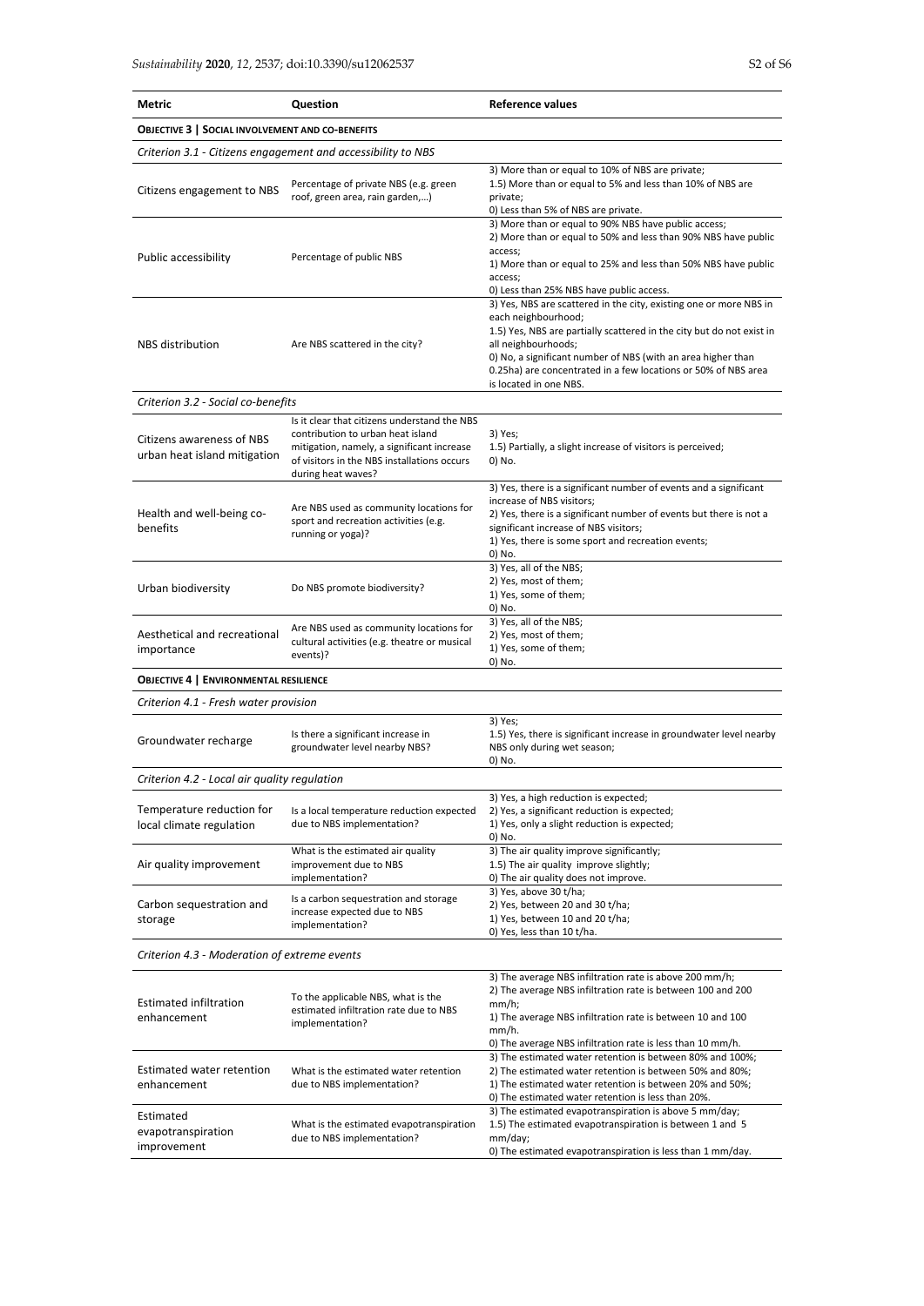| Metric                                                    | Question                                                                                                                                                                                             | <b>Reference values</b>                                                                                                                                                                                                                                                                                                                               |  |
|-----------------------------------------------------------|------------------------------------------------------------------------------------------------------------------------------------------------------------------------------------------------------|-------------------------------------------------------------------------------------------------------------------------------------------------------------------------------------------------------------------------------------------------------------------------------------------------------------------------------------------------------|--|
| <b>OBJECTIVE 3   SOCIAL INVOLVEMENT AND CO-BENEFITS</b>   |                                                                                                                                                                                                      |                                                                                                                                                                                                                                                                                                                                                       |  |
|                                                           | Criterion 3.1 - Citizens engagement and accessibility to NBS                                                                                                                                         |                                                                                                                                                                                                                                                                                                                                                       |  |
| Citizens engagement to NBS                                | Percentage of private NBS (e.g. green<br>roof, green area, rain garden,)                                                                                                                             | 3) More than or equal to 10% of NBS are private;<br>1.5) More than or equal to 5% and less than 10% of NBS are<br>private;<br>0) Less than 5% of NBS are private.                                                                                                                                                                                     |  |
| Public accessibility                                      | Percentage of public NBS                                                                                                                                                                             | 3) More than or equal to 90% NBS have public access;<br>2) More than or equal to 50% and less than 90% NBS have public<br>access;<br>1) More than or equal to 25% and less than 50% NBS have public<br>access;<br>0) Less than 25% NBS have public access.                                                                                            |  |
| <b>NBS</b> distribution                                   | Are NBS scattered in the city?                                                                                                                                                                       | 3) Yes, NBS are scattered in the city, existing one or more NBS in<br>each neighbourhood;<br>1.5) Yes, NBS are partially scattered in the city but do not exist in<br>all neighbourhoods;<br>0) No, a significant number of NBS (with an area higher than<br>0.25ha) are concentrated in a few locations or 50% of NBS area<br>is located in one NBS. |  |
| Criterion 3.2 - Social co-benefits                        |                                                                                                                                                                                                      |                                                                                                                                                                                                                                                                                                                                                       |  |
| Citizens awareness of NBS<br>urban heat island mitigation | Is it clear that citizens understand the NBS<br>contribution to urban heat island<br>mitigation, namely, a significant increase<br>of visitors in the NBS installations occurs<br>during heat waves? | 3) Yes;<br>1.5) Partially, a slight increase of visitors is perceived;<br>0) No.                                                                                                                                                                                                                                                                      |  |
| Health and well-being co-<br>benefits                     | Are NBS used as community locations for<br>sport and recreation activities (e.g.<br>running or yoga)?                                                                                                | 3) Yes, there is a significant number of events and a significant<br>increase of NBS visitors;<br>2) Yes, there is a significant number of events but there is not a<br>significant increase of NBS visitors;<br>1) Yes, there is some sport and recreation events;<br>0) No.                                                                         |  |
| Urban biodiversity                                        | Do NBS promote biodiversity?                                                                                                                                                                         | 3) Yes, all of the NBS;<br>2) Yes, most of them;<br>1) Yes, some of them;<br>0) No.                                                                                                                                                                                                                                                                   |  |
| Aesthetical and recreational<br>importance                | Are NBS used as community locations for<br>cultural activities (e.g. theatre or musical<br>events)?                                                                                                  | 3) Yes, all of the NBS;<br>2) Yes, most of them;<br>1) Yes, some of them;<br>0) No.                                                                                                                                                                                                                                                                   |  |
| <b>OBJECTIVE 4   ENVIRONMENTAL RESILIENCE</b>             |                                                                                                                                                                                                      |                                                                                                                                                                                                                                                                                                                                                       |  |
| Criterion 4.1 - Fresh water provision                     |                                                                                                                                                                                                      |                                                                                                                                                                                                                                                                                                                                                       |  |
| Groundwater recharge                                      | Is there a significant increase in<br>groundwater level nearby NBS?                                                                                                                                  | 3) Yes;<br>1.5) Yes, there is significant increase in groundwater level nearby<br>NBS only during wet season;<br>0) No.                                                                                                                                                                                                                               |  |
| Criterion 4.2 - Local air quality regulation              |                                                                                                                                                                                                      |                                                                                                                                                                                                                                                                                                                                                       |  |
| Temperature reduction for<br>local climate regulation     | Is a local temperature reduction expected<br>due to NBS implementation?                                                                                                                              | 3) Yes, a high reduction is expected;<br>2) Yes, a significant reduction is expected;<br>1) Yes, only a slight reduction is expected;<br>0) No.                                                                                                                                                                                                       |  |
| Air quality improvement                                   | What is the estimated air quality<br>improvement due to NBS<br>implementation?                                                                                                                       | 3) The air quality improve significantly;<br>1.5) The air quality improve slightly;<br>0) The air quality does not improve.                                                                                                                                                                                                                           |  |
| Carbon sequestration and<br>storage                       | Is a carbon sequestration and storage<br>increase expected due to NBS<br>implementation?                                                                                                             | 3) Yes, above 30 t/ha;<br>2) Yes, between 20 and 30 t/ha;<br>1) Yes, between 10 and 20 t/ha;<br>0) Yes, less than 10 t/ha.                                                                                                                                                                                                                            |  |
| Criterion 4.3 - Moderation of extreme events              |                                                                                                                                                                                                      |                                                                                                                                                                                                                                                                                                                                                       |  |
| <b>Estimated infiltration</b><br>enhancement              | To the applicable NBS, what is the<br>estimated infiltration rate due to NBS<br>implementation?                                                                                                      | 3) The average NBS infiltration rate is above 200 mm/h;<br>2) The average NBS infiltration rate is between 100 and 200<br>mm/h;<br>1) The average NBS infiltration rate is between 10 and 100<br>mm/h.<br>0) The average NBS infiltration rate is less than 10 mm/h.                                                                                  |  |
| Estimated water retention<br>enhancement                  | What is the estimated water retention<br>due to NBS implementation?                                                                                                                                  | 3) The estimated water retention is between 80% and 100%;<br>2) The estimated water retention is between 50% and 80%;<br>1) The estimated water retention is between 20% and 50%;<br>0) The estimated water retention is less than 20%.                                                                                                               |  |
| Estimated<br>evapotranspiration<br>improvement            | What is the estimated evapotranspiration<br>due to NBS implementation?                                                                                                                               | 3) The estimated evapotranspiration is above 5 mm/day;<br>1.5) The estimated evapotranspiration is between 1 and 5<br>mm/day;<br>0) The estimated evapotranspiration is less than 1 mm/day.                                                                                                                                                           |  |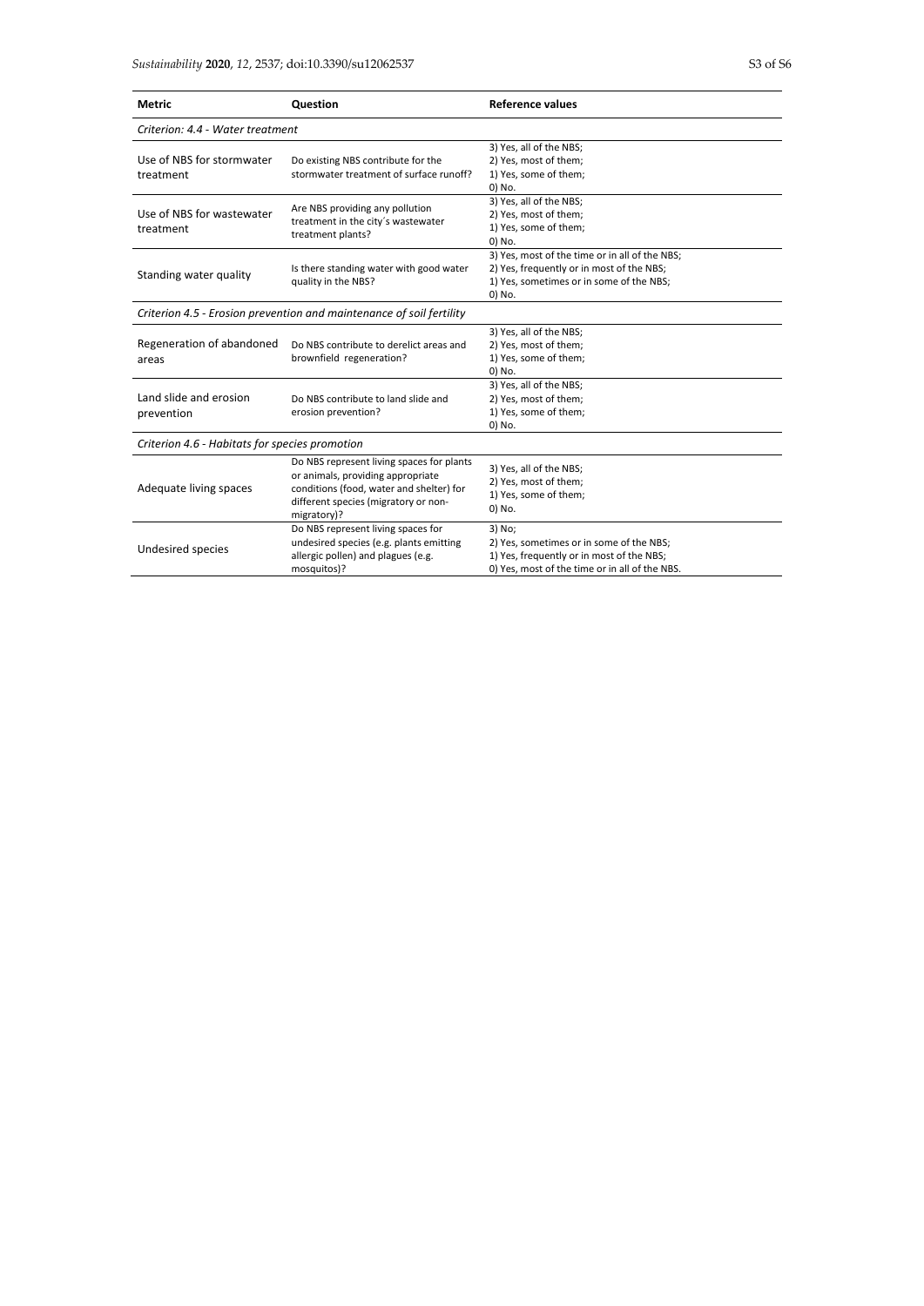| <b>Metric</b>                                  | <b>Question</b>                                                                                                                                                                   | <b>Reference values</b>                                                                                                                           |  |
|------------------------------------------------|-----------------------------------------------------------------------------------------------------------------------------------------------------------------------------------|---------------------------------------------------------------------------------------------------------------------------------------------------|--|
| Criterion: 4.4 - Water treatment               |                                                                                                                                                                                   |                                                                                                                                                   |  |
| Use of NBS for stormwater<br>treatment         | Do existing NBS contribute for the<br>stormwater treatment of surface runoff?                                                                                                     | 3) Yes, all of the NBS;<br>2) Yes, most of them;<br>1) Yes, some of them;<br>0) No.                                                               |  |
| Use of NBS for wastewater<br>treatment         | Are NBS providing any pollution<br>treatment in the city's wastewater<br>treatment plants?                                                                                        | 3) Yes, all of the NBS;<br>2) Yes, most of them;<br>1) Yes, some of them;<br>0) No.                                                               |  |
| Standing water quality                         | Is there standing water with good water<br>quality in the NBS?                                                                                                                    | 3) Yes, most of the time or in all of the NBS;<br>2) Yes, frequently or in most of the NBS;<br>1) Yes, sometimes or in some of the NBS;<br>0) No. |  |
|                                                | Criterion 4.5 - Erosion prevention and maintenance of soil fertility                                                                                                              |                                                                                                                                                   |  |
| Regeneration of abandoned<br>areas             | Do NBS contribute to derelict areas and<br>brownfield regeneration?                                                                                                               | 3) Yes, all of the NBS;<br>2) Yes, most of them;<br>1) Yes, some of them;<br>0) No.                                                               |  |
| Land slide and erosion<br>prevention           | Do NBS contribute to land slide and<br>erosion prevention?                                                                                                                        | 3) Yes, all of the NBS;<br>2) Yes, most of them;<br>1) Yes, some of them;<br>0) No.                                                               |  |
| Criterion 4.6 - Habitats for species promotion |                                                                                                                                                                                   |                                                                                                                                                   |  |
| Adequate living spaces                         | Do NBS represent living spaces for plants<br>or animals, providing appropriate<br>conditions (food, water and shelter) for<br>different species (migratory or non-<br>migratory)? | 3) Yes, all of the NBS;<br>2) Yes, most of them;<br>1) Yes, some of them;<br>0) No.                                                               |  |
| Undesired species                              | Do NBS represent living spaces for<br>undesired species (e.g. plants emitting<br>allergic pollen) and plagues (e.g.<br>mosquitos)?                                                | 3) No;<br>2) Yes, sometimes or in some of the NBS;<br>1) Yes, frequently or in most of the NBS;<br>0) Yes, most of the time or in all of the NBS. |  |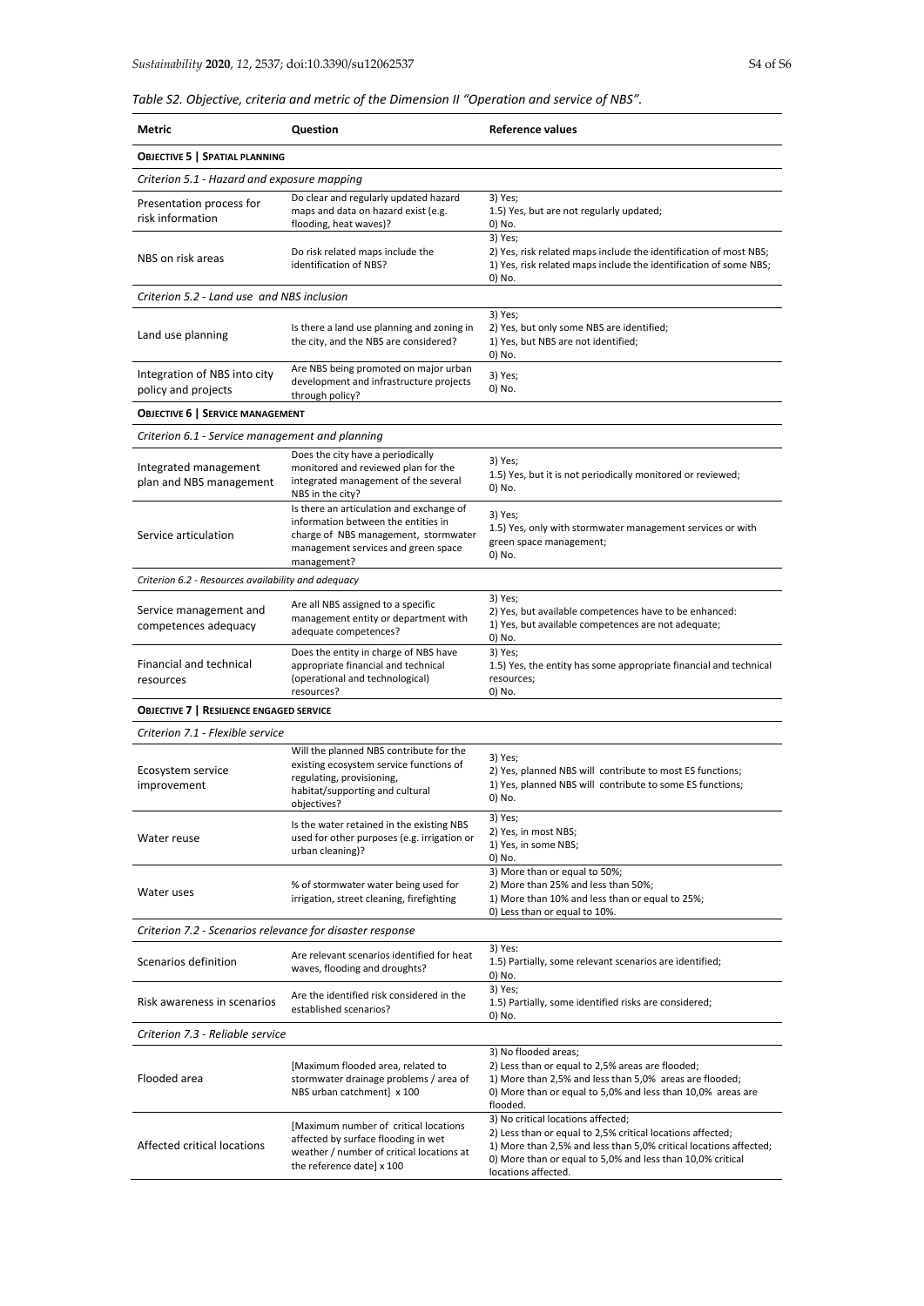| Table S2. Objective, criteria and metric of the Dimension II "Operation and service of NBS". |
|----------------------------------------------------------------------------------------------|
|----------------------------------------------------------------------------------------------|

| <b>Metric</b>                                             | Question                                                                                                                                                                      | <b>Reference values</b>                                                                                                                                                                                                                                    |  |
|-----------------------------------------------------------|-------------------------------------------------------------------------------------------------------------------------------------------------------------------------------|------------------------------------------------------------------------------------------------------------------------------------------------------------------------------------------------------------------------------------------------------------|--|
| <b>OBJECTIVE 5   SPATIAL PLANNING</b>                     |                                                                                                                                                                               |                                                                                                                                                                                                                                                            |  |
| Criterion 5.1 - Hazard and exposure mapping               |                                                                                                                                                                               |                                                                                                                                                                                                                                                            |  |
| Presentation process for<br>risk information              | Do clear and regularly updated hazard<br>maps and data on hazard exist (e.g.<br>flooding, heat waves)?                                                                        | 3) Yes;<br>1.5) Yes, but are not regularly updated;<br>0) No.                                                                                                                                                                                              |  |
| NBS on risk areas                                         | Do risk related maps include the<br>identification of NBS?                                                                                                                    | 3) Yes;<br>2) Yes, risk related maps include the identification of most NBS;<br>1) Yes, risk related maps include the identification of some NBS;<br>0) No.                                                                                                |  |
| Criterion 5.2 - Land use and NBS inclusion                |                                                                                                                                                                               |                                                                                                                                                                                                                                                            |  |
| Land use planning                                         | Is there a land use planning and zoning in<br>the city, and the NBS are considered?                                                                                           | 3) Yes;<br>2) Yes, but only some NBS are identified;<br>1) Yes, but NBS are not identified;<br>0) No.                                                                                                                                                      |  |
| Integration of NBS into city<br>policy and projects       | Are NBS being promoted on major urban<br>development and infrastructure projects<br>through policy?                                                                           | 3) Yes;<br>0) No.                                                                                                                                                                                                                                          |  |
| <b>OBJECTIVE 6   SERVICE MANAGEMENT</b>                   |                                                                                                                                                                               |                                                                                                                                                                                                                                                            |  |
| Criterion 6.1 - Service management and planning           |                                                                                                                                                                               |                                                                                                                                                                                                                                                            |  |
| Integrated management<br>plan and NBS management          | Does the city have a periodically<br>monitored and reviewed plan for the<br>integrated management of the several<br>NBS in the city?                                          | 3) Yes;<br>1.5) Yes, but it is not periodically monitored or reviewed;<br>0) No.                                                                                                                                                                           |  |
| Service articulation                                      | Is there an articulation and exchange of<br>information between the entities in<br>charge of NBS management, stormwater<br>management services and green space<br>management? | 3) Yes;<br>1.5) Yes, only with stormwater management services or with<br>green space management;<br>0) No.                                                                                                                                                 |  |
| Criterion 6.2 - Resources availability and adequacy       |                                                                                                                                                                               |                                                                                                                                                                                                                                                            |  |
| Service management and<br>competences adequacy            | Are all NBS assigned to a specific<br>management entity or department with<br>adequate competences?                                                                           | 3) Yes;<br>2) Yes, but available competences have to be enhanced:<br>1) Yes, but available competences are not adequate;<br>0) No.                                                                                                                         |  |
| Financial and technical<br>resources                      | Does the entity in charge of NBS have<br>appropriate financial and technical<br>(operational and technological)<br>resources?                                                 | 3) Yes;<br>1.5) Yes, the entity has some appropriate financial and technical<br>resources;<br>0) No.                                                                                                                                                       |  |
| <b>OBJECTIVE 7   RESILIENCE ENGAGED SERVICE</b>           |                                                                                                                                                                               |                                                                                                                                                                                                                                                            |  |
| Criterion 7.1 - Flexible service                          |                                                                                                                                                                               |                                                                                                                                                                                                                                                            |  |
| Ecosystem service<br>improvement                          | Will the planned NBS contribute for the<br>existing ecosystem service functions of<br>regulating, provisioning,<br>habitat/supporting and cultural<br>objectives?             | 3) Yes;<br>2) Yes, planned NBS will contribute to most ES functions;<br>1) Yes, planned NBS will contribute to some ES functions;<br>0) No.                                                                                                                |  |
| Water reuse                                               | Is the water retained in the existing NBS<br>used for other purposes (e.g. irrigation or<br>urban cleaning)?                                                                  | 3) Yes;<br>2) Yes, in most NBS;<br>1) Yes, in some NBS;<br>0) No.                                                                                                                                                                                          |  |
| Water uses                                                | % of stormwater water being used for<br>irrigation, street cleaning, firefighting                                                                                             | 3) More than or equal to 50%;<br>2) More than 25% and less than 50%;<br>1) More than 10% and less than or equal to 25%;<br>0) Less than or equal to 10%.                                                                                                   |  |
| Criterion 7.2 - Scenarios relevance for disaster response |                                                                                                                                                                               |                                                                                                                                                                                                                                                            |  |
| Scenarios definition                                      | Are relevant scenarios identified for heat<br>waves, flooding and droughts?                                                                                                   | 3) Yes:<br>1.5) Partially, some relevant scenarios are identified;<br>0) No.                                                                                                                                                                               |  |
| Risk awareness in scenarios                               | Are the identified risk considered in the<br>established scenarios?                                                                                                           | 3) Yes;<br>1.5) Partially, some identified risks are considered;<br>0) No.                                                                                                                                                                                 |  |
| Criterion 7.3 - Reliable service                          |                                                                                                                                                                               |                                                                                                                                                                                                                                                            |  |
| Flooded area                                              | [Maximum flooded area, related to<br>stormwater drainage problems / area of<br>NBS urban catchment] x 100                                                                     | 3) No flooded areas;<br>2) Less than or equal to 2,5% areas are flooded;<br>1) More than 2,5% and less than 5,0% areas are flooded;<br>0) More than or equal to 5,0% and less than 10,0% areas are<br>flooded.                                             |  |
| Affected critical locations                               | [Maximum number of critical locations<br>affected by surface flooding in wet<br>weather / number of critical locations at<br>the reference date] x 100                        | 3) No critical locations affected;<br>2) Less than or equal to 2,5% critical locations affected;<br>1) More than 2,5% and less than 5,0% critical locations affected;<br>0) More than or equal to 5,0% and less than 10,0% critical<br>locations affected. |  |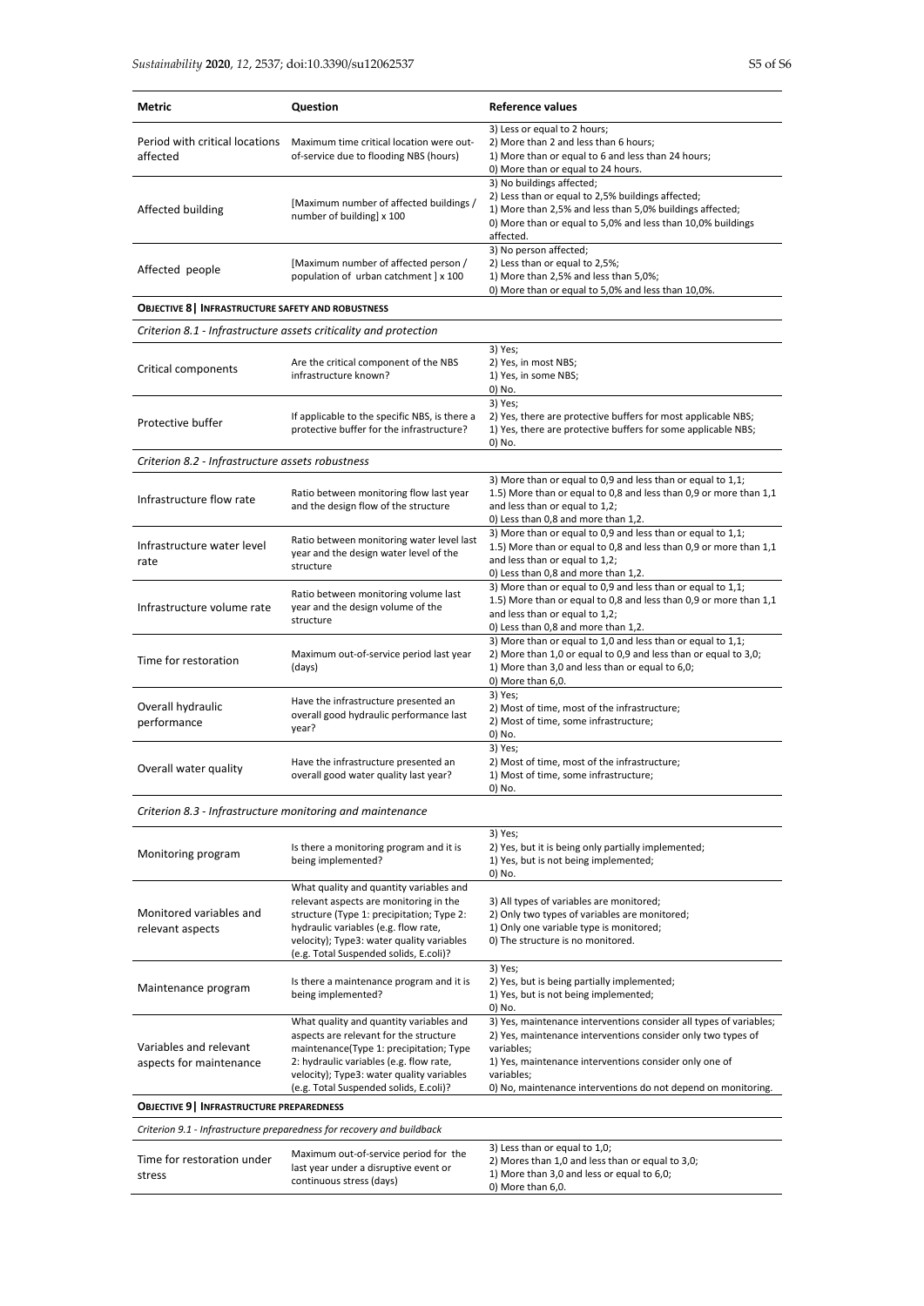| Metric                                                                 | Question                                                                                                                                                                                                                                                       | <b>Reference values</b>                                                                                                                                                                                                                                                                   |  |
|------------------------------------------------------------------------|----------------------------------------------------------------------------------------------------------------------------------------------------------------------------------------------------------------------------------------------------------------|-------------------------------------------------------------------------------------------------------------------------------------------------------------------------------------------------------------------------------------------------------------------------------------------|--|
| Period with critical locations<br>affected                             | Maximum time critical location were out-<br>of-service due to flooding NBS (hours)                                                                                                                                                                             | 3) Less or equal to 2 hours;<br>2) More than 2 and less than 6 hours;<br>1) More than or equal to 6 and less than 24 hours;<br>0) More than or equal to 24 hours.                                                                                                                         |  |
| Affected building                                                      | [Maximum number of affected buildings /<br>number of building] x 100                                                                                                                                                                                           | 3) No buildings affected;<br>2) Less than or equal to 2,5% buildings affected;<br>1) More than 2,5% and less than 5,0% buildings affected;<br>0) More than or equal to 5,0% and less than 10,0% buildings<br>affected.                                                                    |  |
| Affected people                                                        | [Maximum number of affected person /<br>population of urban catchment ] x 100                                                                                                                                                                                  | 3) No person affected;<br>2) Less than or equal to 2,5%;<br>1) More than 2,5% and less than 5,0%;<br>0) More than or equal to 5,0% and less than 10,0%.                                                                                                                                   |  |
| <b>OBJECTIVE 8   INFRASTRUCTURE SAFETY AND ROBUSTNESS</b>              |                                                                                                                                                                                                                                                                |                                                                                                                                                                                                                                                                                           |  |
|                                                                        | Criterion 8.1 - Infrastructure assets criticality and protection                                                                                                                                                                                               |                                                                                                                                                                                                                                                                                           |  |
| Critical components                                                    | Are the critical component of the NBS<br>infrastructure known?                                                                                                                                                                                                 | 3) Yes;<br>2) Yes, in most NBS;<br>1) Yes, in some NBS;<br>0) No.                                                                                                                                                                                                                         |  |
| Protective buffer                                                      | If applicable to the specific NBS, is there a<br>protective buffer for the infrastructure?                                                                                                                                                                     | 3) Yes;<br>2) Yes, there are protective buffers for most applicable NBS;<br>1) Yes, there are protective buffers for some applicable NBS;<br>0) No.                                                                                                                                       |  |
| Criterion 8.2 - Infrastructure assets robustness                       |                                                                                                                                                                                                                                                                |                                                                                                                                                                                                                                                                                           |  |
| Infrastructure flow rate                                               | Ratio between monitoring flow last year<br>and the design flow of the structure                                                                                                                                                                                | 3) More than or equal to 0,9 and less than or equal to 1,1;<br>1.5) More than or equal to 0,8 and less than 0,9 or more than 1,1<br>and less than or equal to 1,2;<br>0) Less than 0,8 and more than 1,2.                                                                                 |  |
| Infrastructure water level<br>rate                                     | Ratio between monitoring water level last<br>year and the design water level of the<br>structure                                                                                                                                                               | 3) More than or equal to 0,9 and less than or equal to 1,1;<br>1.5) More than or equal to 0,8 and less than 0,9 or more than 1,1<br>and less than or equal to 1,2;<br>0) Less than 0,8 and more than 1,2.                                                                                 |  |
| Infrastructure volume rate                                             | Ratio between monitoring volume last<br>year and the design volume of the<br>structure                                                                                                                                                                         | 3) More than or equal to 0,9 and less than or equal to 1,1;<br>1.5) More than or equal to 0,8 and less than 0,9 or more than 1,1<br>and less than or equal to 1,2;<br>0) Less than 0,8 and more than 1,2.                                                                                 |  |
| Time for restoration                                                   | Maximum out-of-service period last year<br>(days)                                                                                                                                                                                                              | 3) More than or equal to 1,0 and less than or equal to 1,1;<br>2) More than 1,0 or equal to 0,9 and less than or equal to 3,0;<br>1) More than 3,0 and less than or equal to 6,0;<br>0) More than 6,0.                                                                                    |  |
| Overall hydraulic<br>performance                                       | Have the infrastructure presented an<br>overall good hydraulic performance last<br>year?                                                                                                                                                                       | 3) Yes;<br>2) Most of time, most of the infrastructure;<br>2) Most of time, some infrastructure;<br>0) No.                                                                                                                                                                                |  |
| Overall water quality                                                  | Have the infrastructure presented an<br>overall good water quality last year?                                                                                                                                                                                  | 3) Yes;<br>2) Most of time, most of the infrastructure;<br>1) Most of time, some infrastructure;<br>0) No.                                                                                                                                                                                |  |
| Criterion 8.3 - Infrastructure monitoring and maintenance              |                                                                                                                                                                                                                                                                |                                                                                                                                                                                                                                                                                           |  |
| Monitoring program                                                     | Is there a monitoring program and it is<br>being implemented?                                                                                                                                                                                                  | 3) Yes;<br>2) Yes, but it is being only partially implemented;<br>1) Yes, but is not being implemented;<br>0) No.                                                                                                                                                                         |  |
| Monitored variables and<br>relevant aspects                            | What quality and quantity variables and<br>relevant aspects are monitoring in the<br>structure (Type 1: precipitation; Type 2:<br>hydraulic variables (e.g. flow rate,<br>velocity); Type3: water quality variables<br>(e.g. Total Suspended solids, E.coli)?  | 3) All types of variables are monitored;<br>2) Only two types of variables are monitored;<br>1) Only one variable type is monitored;<br>0) The structure is no monitored.                                                                                                                 |  |
| Maintenance program                                                    | Is there a maintenance program and it is<br>being implemented?                                                                                                                                                                                                 | 3) Yes;<br>2) Yes, but is being partially implemented;<br>1) Yes, but is not being implemented;<br>0) No.                                                                                                                                                                                 |  |
| Variables and relevant<br>aspects for maintenance                      | What quality and quantity variables and<br>aspects are relevant for the structure<br>maintenance(Type 1: precipitation; Type<br>2: hydraulic variables (e.g. flow rate,<br>velocity); Type3: water quality variables<br>(e.g. Total Suspended solids, E.coli)? | 3) Yes, maintenance interventions consider all types of variables;<br>2) Yes, maintenance interventions consider only two types of<br>variables;<br>1) Yes, maintenance interventions consider only one of<br>variables;<br>0) No, maintenance interventions do not depend on monitoring. |  |
| <b>OBJECTIVE 9   INFRASTRUCTURE PREPAREDNESS</b>                       |                                                                                                                                                                                                                                                                |                                                                                                                                                                                                                                                                                           |  |
| Criterion 9.1 - Infrastructure preparedness for recovery and buildback |                                                                                                                                                                                                                                                                |                                                                                                                                                                                                                                                                                           |  |
| Time for restoration under<br>stress                                   | Maximum out-of-service period for the<br>last year under a disruptive event or<br>continuous stress (days)                                                                                                                                                     | 3) Less than or equal to 1,0;<br>2) Mores than 1,0 and less than or equal to 3,0;<br>1) More than 3,0 and less or equal to 6,0;<br>0) More than 6,0.                                                                                                                                      |  |